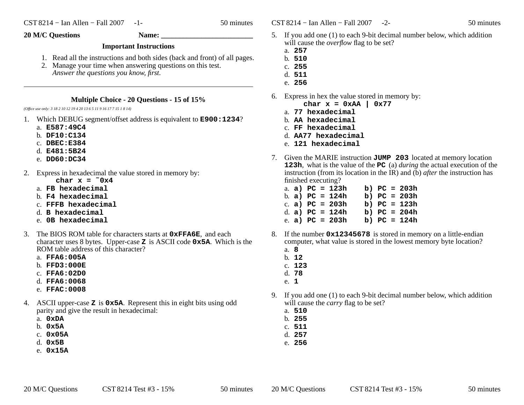$\text{CST } 8214 - \text{I}$ an Allen – Fall 2007 -2- 50 minutes

## **20 M/C Questions Name: \_\_\_\_\_\_\_\_\_\_\_\_\_\_\_\_\_\_\_\_\_\_\_\_\_**

## **Important Instructions**

- 1. Read all the instructions and both sides (back and front) of all pages.
- 2. Manage your time when answering questions on this test. *Answer the questions you know, first.*

## **Multiple Choice - 20 Questions - 15 of 15%**

*(Office use only: 3 18 2 10 12 19 4 20 13 6 5 11 9 16 17 7 15 1 8 14)*

- 1. Which DEBUG segment/offset address is equivalent to **E900:1234**?
	- a. **E587:49C4**
	- b. **DF10:C134**
	- c. **DBEC:E384**
	- d. **E481:5B24**
	- e. **DD60:DC34**
- 2. Express in hexadecimal the value stored in memory by:
	- char  $x = 0x4$
	- a. **FB hexadecimal**
	- b. **F4 hexadecimal**
	- c. **FFFB hexadecimal**
	- d. **<sup>B</sup> hexadecimal**
	- e. **0B hexadecimal**
- 3. The BIOS ROM table for characters starts at **0xFFA6E**, and each character uses 8 bytes. Upper-case **<sup>Z</sup>** is ASCII code **0x5A**. Which is the ROM table address of this character?
	- a. **FFA6:005A**
	- b. **FFD3:000E**
	- c. **FFA6:02D0**
	- d. **FFA6:0068**
	- e. **FFAC:0008**
- 4. ASCII upper-case **<sup>Z</sup>** is **0x5A**. Represent this in eight bits using odd parity and give the result in hexadecimal:
	- a. **0xDA**
	- b. **0x5A**
	- c. **0x05A**
	- d. **0x5B**
	- e. **0x15A**
- 5. If you add one (1) to each 9-bit decimal number below, which additionwill cause the *overflow* flag to be set?
	- a. **257**
	- b. **510**
	- c. **255**
	- d. **511**
	- e. **256**
- 6. Express in hex the value stored in memory by:
	- **char x = 0xAA | 0x77**
	- a. **77 hexadecimal**
	- b. **AA hexadecimal**
	- c. **FF hexadecimal**
	- d. **AA77 hexadecimal**
	- e. **121 hexadecimal**
- 7. Given the MARIE instruction **JUMP 203** located at memory location **123h**, what is the value of the **PC** (a) *during* the actual execution of the instruction (from its location in the IR) and (b) *after* the instruction has finished executing?
	- a. **a) PC = 123h b) PC = 203h** b. **a) PC = 124h b) PC = 203h** c. **a) PC = 203h b) PC = 123h** d. **a) PC = 124h b) PC = 204h** e. **a) PC = 203h b) PC = 124h**
- 8. the number **0x12345678** is stored in memory on a little-endian computer, what value is stored in the lowest memory byte location?
	- a. **8**
	- b. **12**
	- c. **123**
	- d. **78**e. **1**
- $9.$ If you add one (1) to each 9-bit decimal number below, which addition will cause the *carry* flag to be set?
	- a. **510**
	- b. **255**
	- c. **511**
	- d. **257**
	- e. **256**